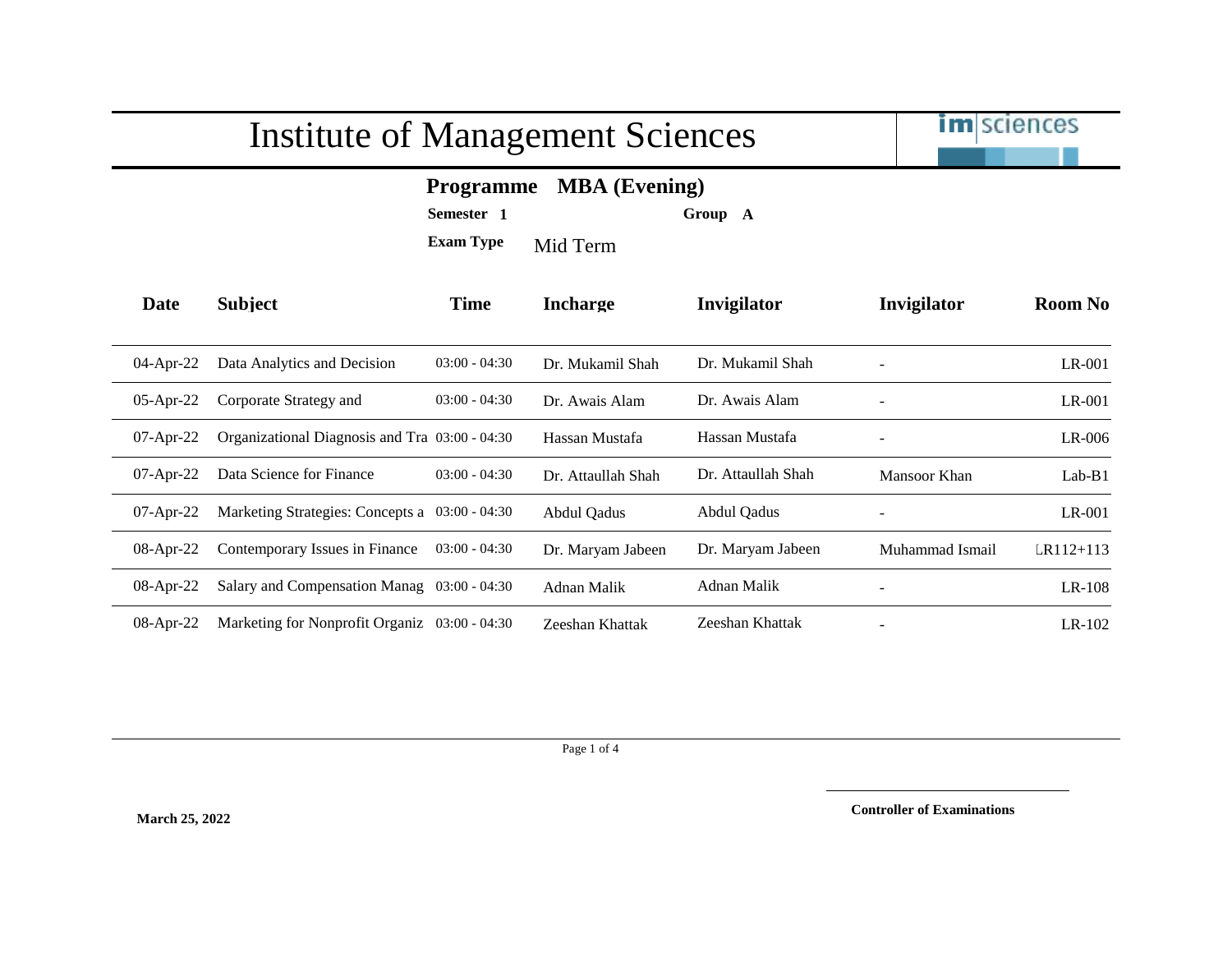

## **Programme MBA (Evening)**

**Semester 1 Group A**

**Exam Type** Mid Term

| Date         | <b>Subject</b>                                 | <b>Time</b>     | <b>Incharge</b>    | Invigilator        | Invigilator              | Room No       |
|--------------|------------------------------------------------|-----------------|--------------------|--------------------|--------------------------|---------------|
| $04$ -Apr-22 | Data Analytics and Decision                    | $03:00 - 04:30$ | Dr. Mukamil Shah   | Dr. Mukamil Shah   |                          | LR-001        |
| $05$ -Apr-22 | Corporate Strategy and                         | $03:00 - 04:30$ | Dr. Awais Alam     | Dr. Awais Alam     |                          | $LR-001$      |
| $07$ -Apr-22 | Organizational Diagnosis and Tra 03:00 - 04:30 |                 | Hassan Mustafa     | Hassan Mustafa     |                          | $LR-006$      |
| $07$ -Apr-22 | Data Science for Finance                       | $03:00 - 04:30$ | Dr. Attaullah Shah | Dr. Attaullah Shah | Mansoor Khan             | $Lab-B1$      |
| $07$ -Apr-22 | Marketing Strategies: Concepts a 03:00 - 04:30 |                 | Abdul Oadus        | Abdul Qadus        |                          | $LR-001$      |
| $08$ -Apr-22 | Contemporary Issues in Finance                 | $03:00 - 04:30$ | Dr. Maryam Jabeen  | Dr. Maryam Jabeen  | Muhammad Ismail          | $LR112 + 113$ |
| $08$ -Apr-22 | Salary and Compensation Manag 03:00 - 04:30    |                 | Adnan Malik        | Adnan Malik        |                          | $LR-108$      |
| $08$ -Apr-22 | Marketing for Nonprofit Organiz 03:00 - 04:30  |                 | Zeeshan Khattak    | Zeeshan Khattak    | $\overline{\phantom{a}}$ | $LR-102$      |

Page 1 of 4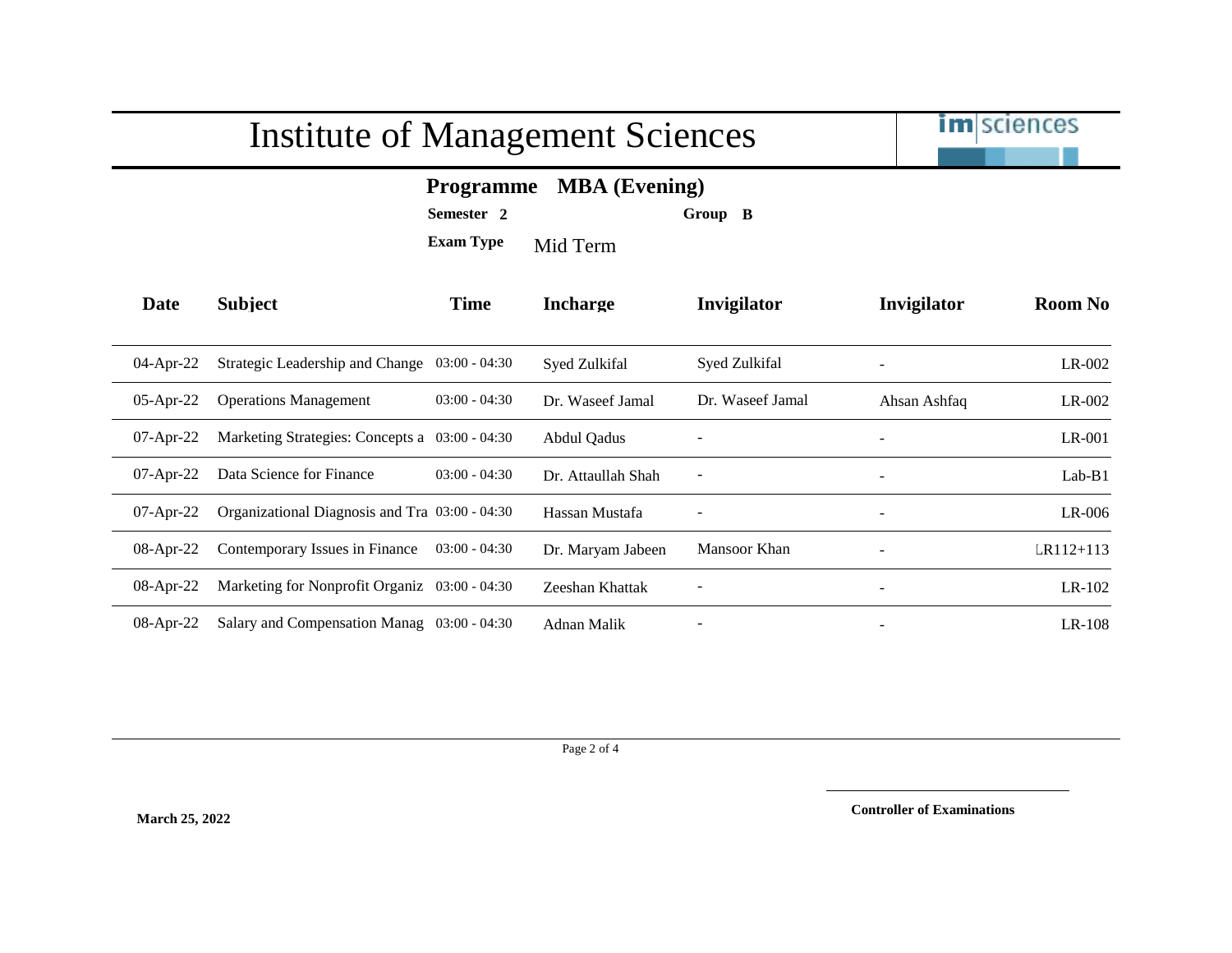

## **Programme MBA (Evening)**

**Semester 2 Group B**

**Exam Type** Mid Term

| Date         | <b>Subject</b>                                 | <b>Time</b>     | <b>Incharge</b>    | <b>Invigilator</b> | Invigilator              | <b>Room No</b> |
|--------------|------------------------------------------------|-----------------|--------------------|--------------------|--------------------------|----------------|
| $04$ -Apr-22 | Strategic Leadership and Change 03:00 - 04:30  |                 | Syed Zulkifal      | Syed Zulkifal      |                          | $LR-002$       |
| $05$ -Apr-22 | <b>Operations Management</b>                   | $03:00 - 04:30$ | Dr. Waseef Jamal   | Dr. Waseef Jamal   | Ahsan Ashfaq             | $LR-002$       |
| $07$ -Apr-22 | Marketing Strategies: Concepts a 03:00 - 04:30 |                 | <b>Abdul Qadus</b> |                    |                          | $LR-001$       |
| $07$ -Apr-22 | Data Science for Finance                       | $03:00 - 04:30$ | Dr. Attaullah Shah | ۰                  | $\overline{\phantom{a}}$ | $Lab-B1$       |
| $07$ -Apr-22 | Organizational Diagnosis and Tra 03:00 - 04:30 |                 | Hassan Mustafa     |                    | $\overline{\phantom{a}}$ | $LR-006$       |
| $08$ -Apr-22 | Contemporary Issues in Finance                 | $03:00 - 04:30$ | Dr. Maryam Jabeen  | Mansoor Khan       |                          | $LR112 + 113$  |
| $08$ -Apr-22 | Marketing for Nonprofit Organiz 03:00 - 04:30  |                 | Zeeshan Khattak    |                    |                          | $LR-102$       |
| $08$ -Apr-22 | Salary and Compensation Manag 03:00 - 04:30    |                 | Adnan Malik        |                    |                          | $LR-108$       |

Page 2 of 4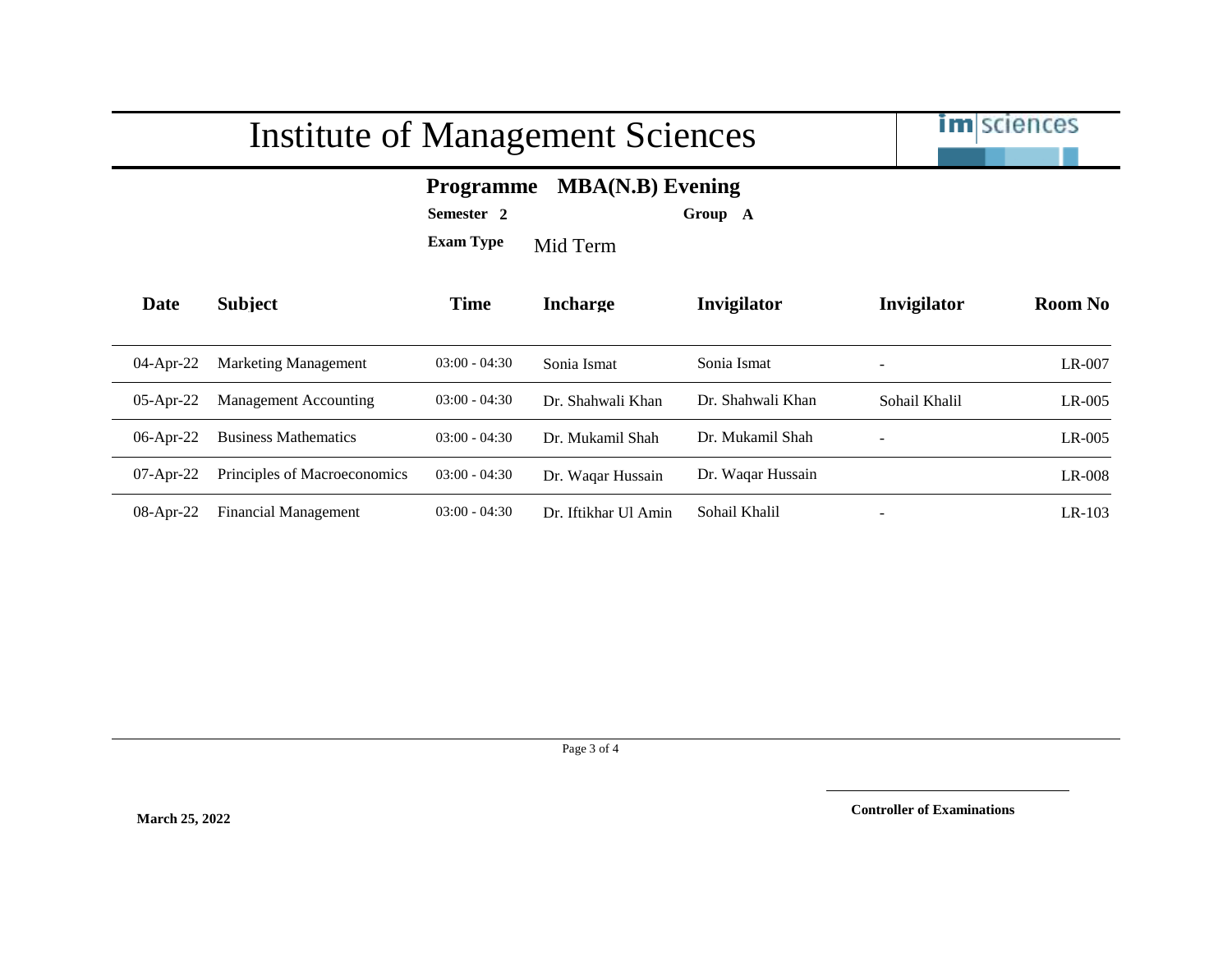

## **Programme MBA(N.B) Evening**

**Semester 2 Group A**

**Exam Type** Mid Term

| Date         | <b>Subject</b>               | <b>Time</b>     | <b>Incharge</b>      | <b>Invigilator</b> | Invigilator              | <b>Room No</b> |
|--------------|------------------------------|-----------------|----------------------|--------------------|--------------------------|----------------|
| $04$ -Apr-22 | <b>Marketing Management</b>  | $03:00 - 04:30$ | Sonia Ismat          | Sonia Ismat        | $\overline{\phantom{a}}$ | $LR-007$       |
| $05$ -Apr-22 | Management Accounting        | $03:00 - 04:30$ | Dr. Shahwali Khan    | Dr. Shahwali Khan  | Sohail Khalil            | $LR-005$       |
| $06$ -Apr-22 | <b>Business Mathematics</b>  | $03:00 - 04:30$ | Dr. Mukamil Shah     | Dr. Mukamil Shah   | $\overline{\phantom{a}}$ | $LR-005$       |
| $07$ -Apr-22 | Principles of Macroeconomics | $03:00 - 04:30$ | Dr. Waqar Hussain    | Dr. Waqar Hussain  |                          | LR-008         |
| $08$ -Apr-22 | <b>Financial Management</b>  | $03:00 - 04:30$ | Dr. Iftikhar Ul Amin | Sohail Khalil      | $\overline{\phantom{a}}$ | $LR-103$       |

Page 3 of 4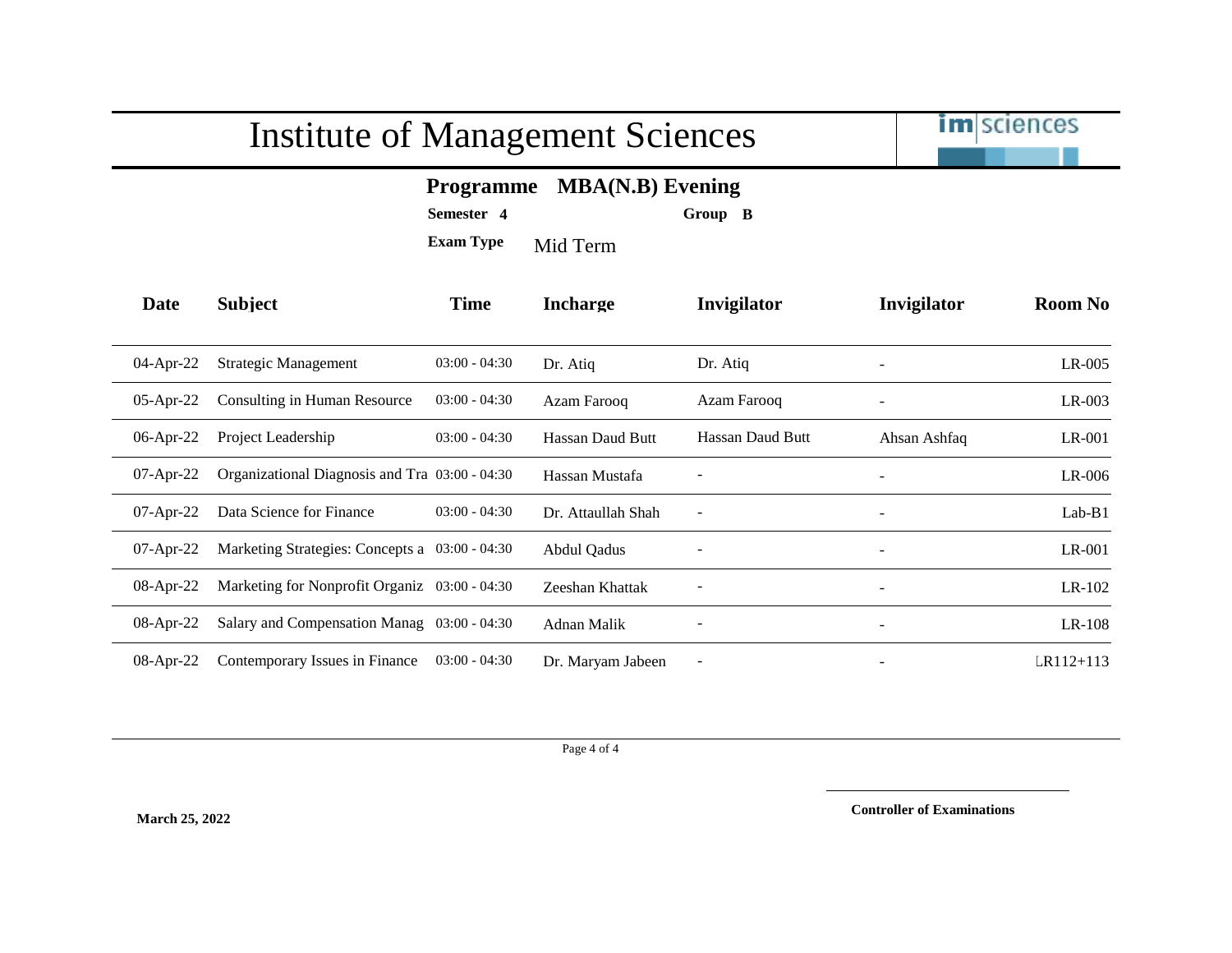

## **Programme MBA(N.B) Evening**

**Semester 4 Group B**

**Exam Type** Mid Term

| Date         | <b>Subject</b>                                 | <b>Time</b>     | <b>Incharge</b>    | Invigilator              | Invigilator              | <b>Room No</b> |
|--------------|------------------------------------------------|-----------------|--------------------|--------------------------|--------------------------|----------------|
| 04-Apr-22    | Strategic Management                           | $03:00 - 04:30$ | Dr. Atiq           | Dr. Atiq                 | $\overline{\phantom{a}}$ | $LR-005$       |
| $05$ -Apr-22 | Consulting in Human Resource                   | $03:00 - 04:30$ | Azam Farooq        | Azam Farooq              | $\overline{\phantom{a}}$ | $LR-003$       |
| $06$ -Apr-22 | Project Leadership                             | $03:00 - 04:30$ | Hassan Daud Butt   | Hassan Daud Butt         | Ahsan Ashfaq             | $LR-001$       |
| $07$ -Apr-22 | Organizational Diagnosis and Tra 03:00 - 04:30 |                 | Hassan Mustafa     |                          | $\blacksquare$           | $LR-006$       |
| $07$ -Apr-22 | Data Science for Finance                       | $03:00 - 04:30$ | Dr. Attaullah Shah | $\overline{\phantom{0}}$ | $\overline{\phantom{a}}$ | $Lab-B1$       |
| $07$ -Apr-22 | Marketing Strategies: Concepts a 03:00 - 04:30 |                 | Abdul Qadus        |                          | $\sim$                   | LR-001         |
| $08$ -Apr-22 | Marketing for Nonprofit Organiz 03:00 - 04:30  |                 | Zeeshan Khattak    |                          | $\overline{\phantom{a}}$ | $LR-102$       |
| $08$ -Apr-22 | Salary and Compensation Manag 03:00 - 04:30    |                 | Adnan Malik        |                          | $\overline{\phantom{a}}$ | LR-108         |
| $08$ -Apr-22 | Contemporary Issues in Finance                 | $03:00 - 04:30$ | Dr. Maryam Jabeen  |                          |                          | $LR112 + 113$  |

Page 4 of 4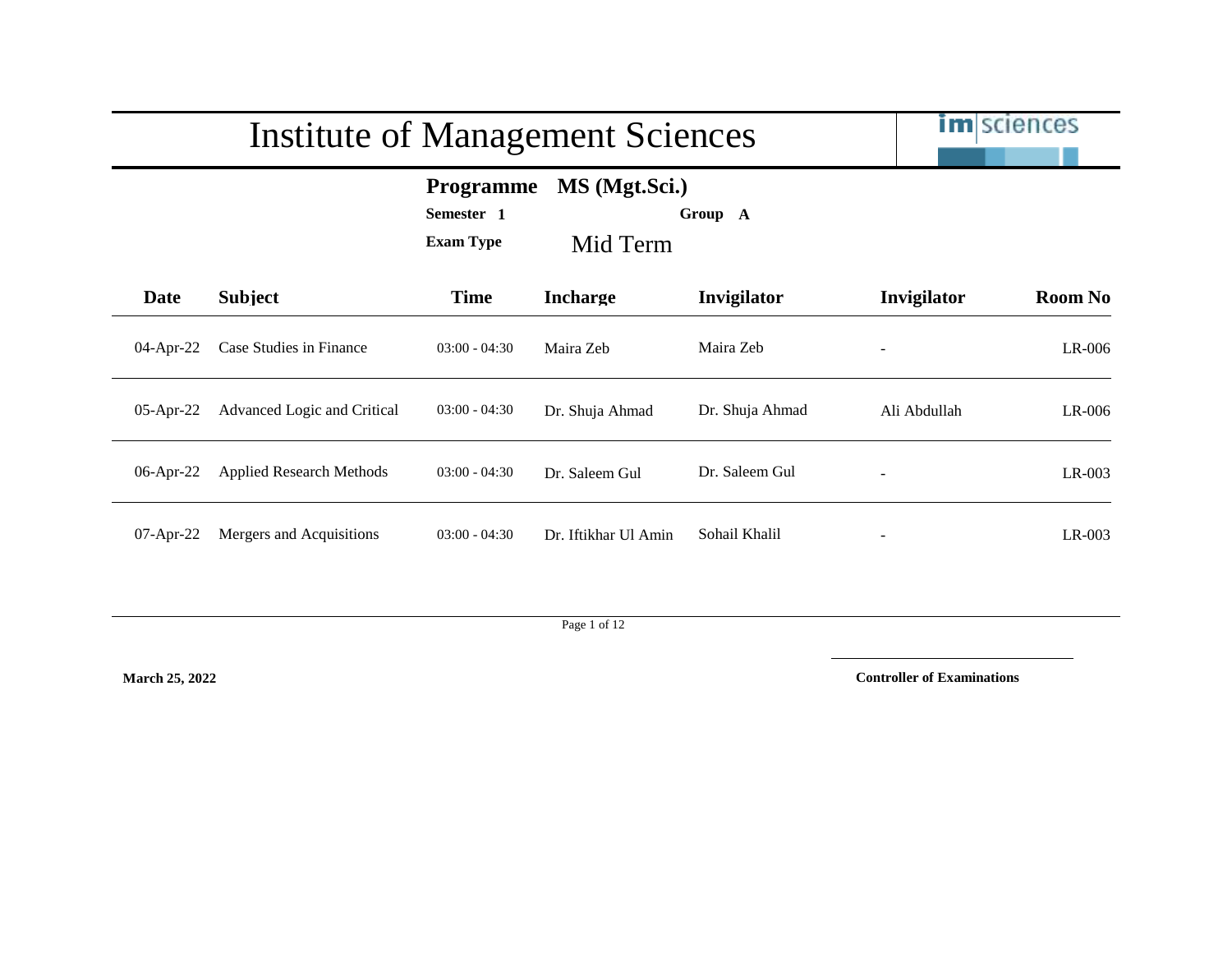|                                                                                            | <b>Institute of Management Sciences</b> |                 | <b>im</b> sciences   |                 |              |                |
|--------------------------------------------------------------------------------------------|-----------------------------------------|-----------------|----------------------|-----------------|--------------|----------------|
| MS (Mgt.Sci.)<br><b>Programme</b><br>Semester 1<br>Group A<br><b>Exam Type</b><br>Mid Term |                                         |                 |                      |                 |              |                |
| Date                                                                                       | <b>Subject</b>                          | <b>Time</b>     | <b>Incharge</b>      | Invigilator     | Invigilator  | <b>Room No</b> |
| 04-Apr-22                                                                                  | Case Studies in Finance                 | $03:00 - 04:30$ | Maira Zeb            | Maira Zeb       |              | $LR-006$       |
| 05-Apr-22                                                                                  | Advanced Logic and Critical             | $03:00 - 04:30$ | Dr. Shuja Ahmad      | Dr. Shuja Ahmad | Ali Abdullah | $LR-006$       |
| 06-Apr-22                                                                                  | <b>Applied Research Methods</b>         | $03:00 - 04:30$ | Dr. Saleem Gul       | Dr. Saleem Gul  |              | $LR-003$       |
| $07$ -Apr-22                                                                               | Mergers and Acquisitions                | $03:00 - 04:30$ | Dr. Iftikhar Ul Amin | Sohail Khalil   |              | $LR-003$       |

Page 1 of 12

**March 25, 2022**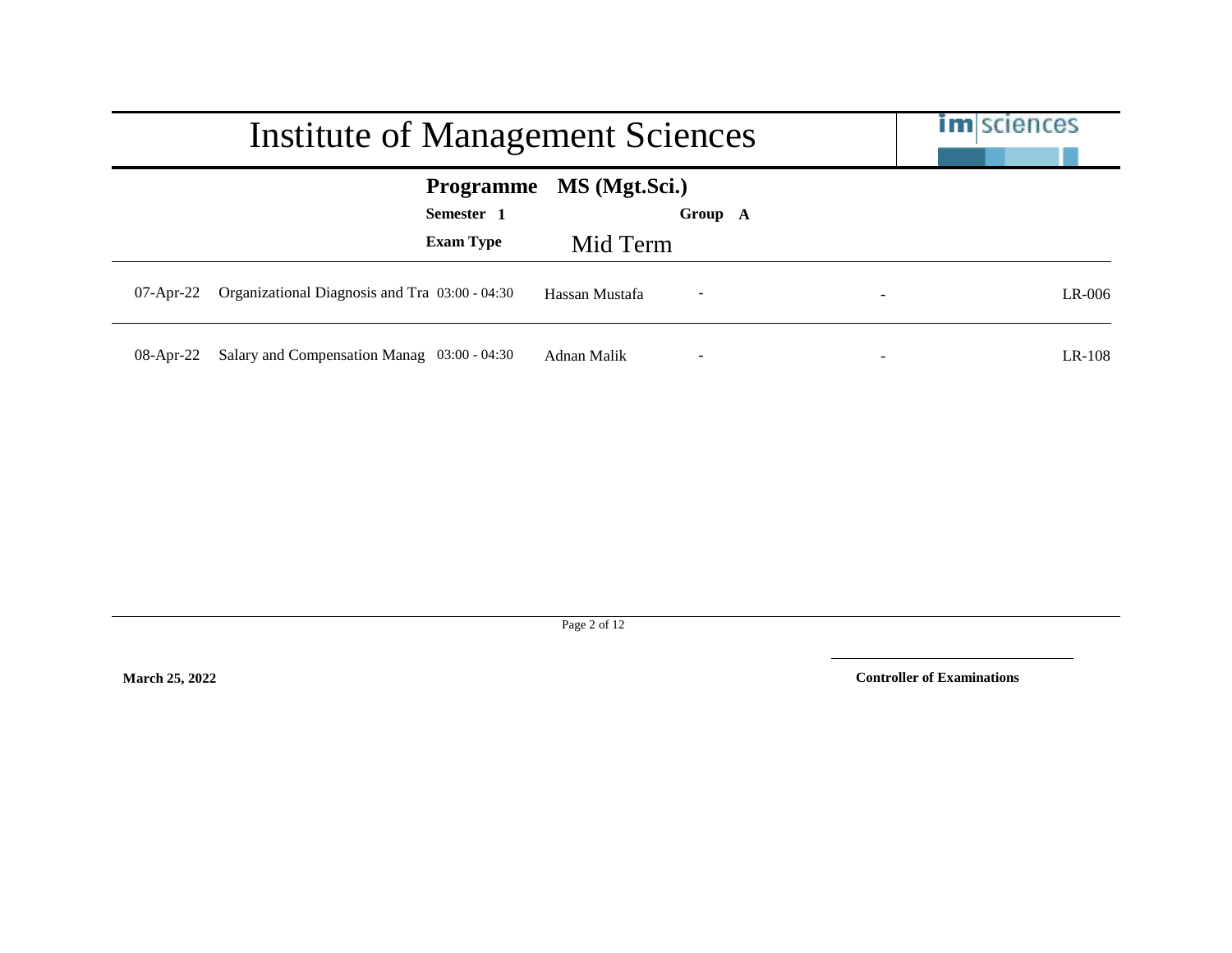|              | Institute of Management Sciences               | <b>im</b> sciences      |                          |          |
|--------------|------------------------------------------------|-------------------------|--------------------------|----------|
|              | Semester 1                                     | Programme MS (Mgt.Sci.) | Group A                  |          |
|              | <b>Exam Type</b>                               | Mid Term                |                          |          |
| $07$ -Apr-22 | Organizational Diagnosis and Tra 03:00 - 04:30 | Hassan Mustafa          | $\overline{\phantom{a}}$ | $LR-006$ |
| $08$ -Apr-22 | Salary and Compensation Manag 03:00 - 04:30    | Adnan Malik             | $\overline{\phantom{a}}$ | $LR-108$ |

Page 2 of 12

**March 25, 2022**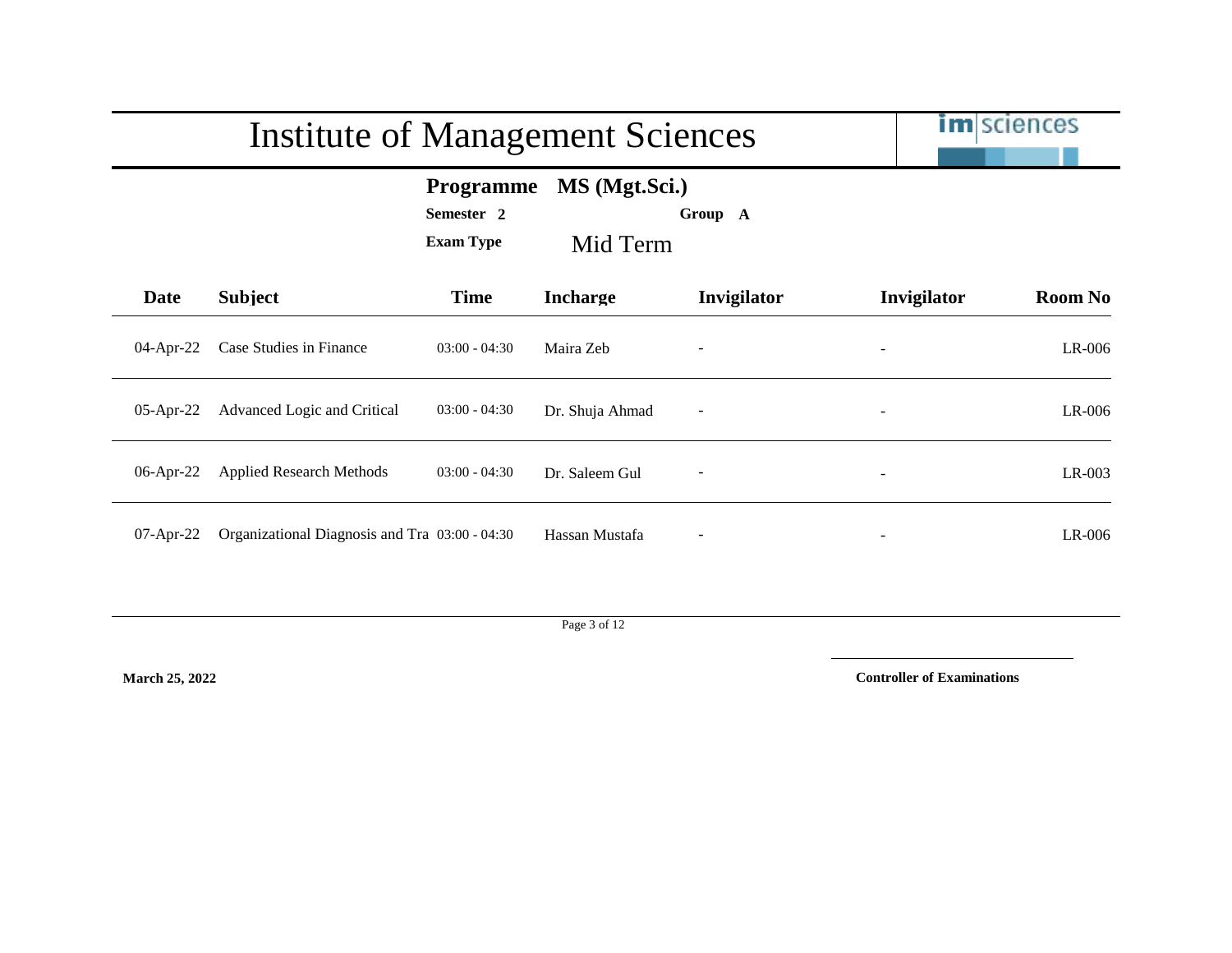|                                                                                            | <b>Institute of Management Sciences</b>        |                 | <b>im</b> sciences |                          |                          |                |
|--------------------------------------------------------------------------------------------|------------------------------------------------|-----------------|--------------------|--------------------------|--------------------------|----------------|
| MS (Mgt.Sci.)<br><b>Programme</b><br>Semester 2<br>Group A<br><b>Exam Type</b><br>Mid Term |                                                |                 |                    |                          |                          |                |
| Date                                                                                       | <b>Subject</b>                                 | <b>Time</b>     | <b>Incharge</b>    | Invigilator              | Invigilator              | <b>Room No</b> |
| 04-Apr-22                                                                                  | Case Studies in Finance                        | $03:00 - 04:30$ | Maira Zeb          |                          |                          | LR-006         |
| 05-Apr-22                                                                                  | Advanced Logic and Critical                    | $03:00 - 04:30$ | Dr. Shuja Ahmad    | $\overline{\phantom{a}}$ | $\overline{\phantom{a}}$ | LR-006         |
| 06-Apr-22                                                                                  | <b>Applied Research Methods</b>                | $03:00 - 04:30$ | Dr. Saleem Gul     |                          |                          | LR-003         |
| $07$ -Apr-22                                                                               | Organizational Diagnosis and Tra 03:00 - 04:30 |                 | Hassan Mustafa     |                          |                          | LR-006         |

Page 3 of 12

**March 25, 2022**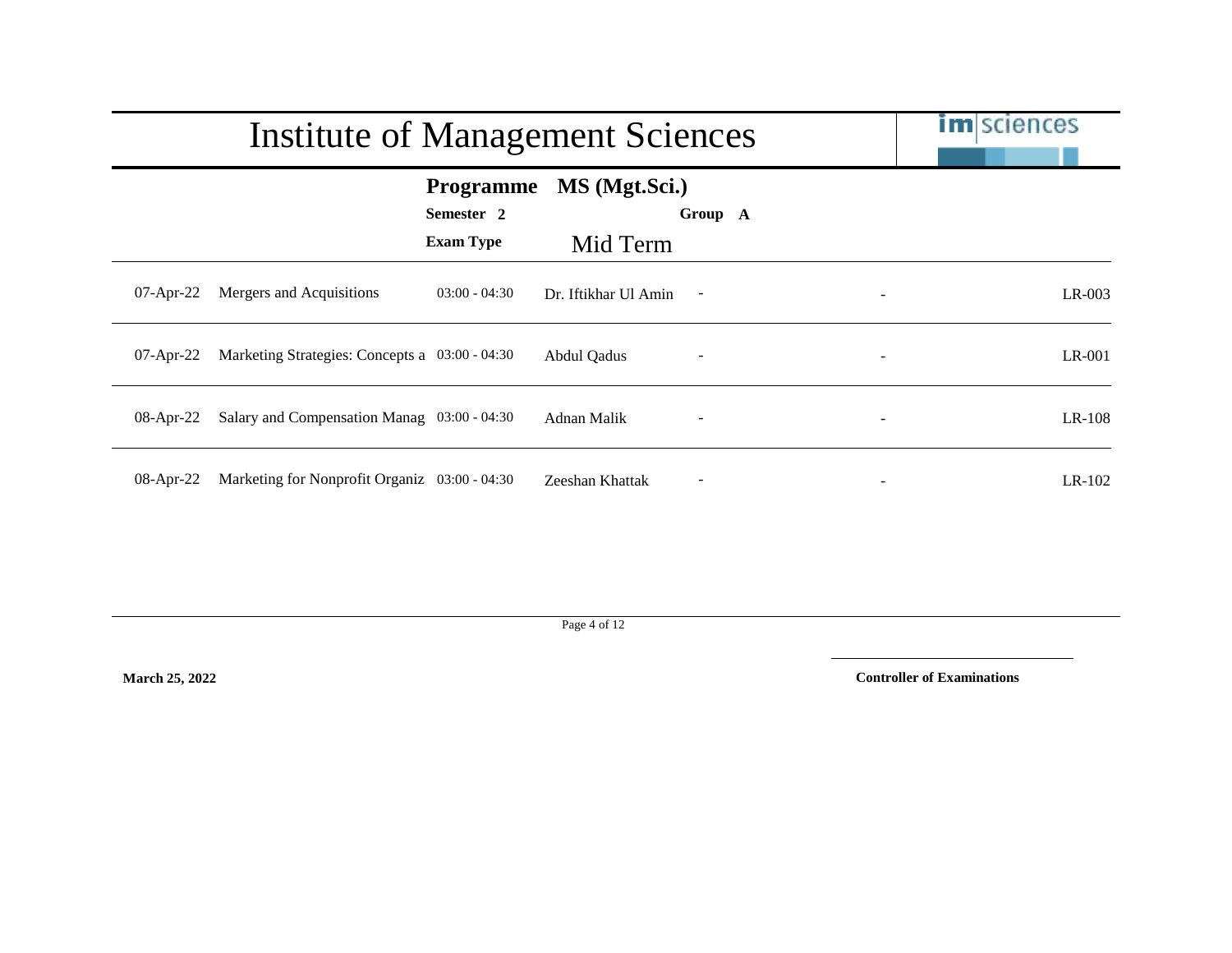|              | Institute of Management Sciences               |                                                    | <b>im</b> sciences        |                          |        |          |
|--------------|------------------------------------------------|----------------------------------------------------|---------------------------|--------------------------|--------|----------|
|              |                                                | <b>Programme</b><br>Semester 2<br><b>Exam Type</b> | MS (Mgt.Sci.)<br>Mid Term | Group A                  |        |          |
| $07$ -Apr-22 | Mergers and Acquisitions                       | $03:00 - 04:30$                                    | Dr. Iftikhar Ul Amin      | $\sim$                   |        | $LR-003$ |
| $07$ -Apr-22 | Marketing Strategies: Concepts a 03:00 - 04:30 |                                                    | Abdul Qadus               | $\overline{\phantom{a}}$ | $\sim$ | $LR-001$ |
| $08$ -Apr-22 | Salary and Compensation Manag 03:00 - 04:30    |                                                    | Adnan Malik               | $\qquad \qquad -$        |        | $LR-108$ |
| $08$ -Apr-22 | Marketing for Nonprofit Organiz 03:00 - 04:30  |                                                    | Zeeshan Khattak           | $\qquad \qquad -$        |        | $LR-102$ |

Page 4 of 12

**March 25, 2022**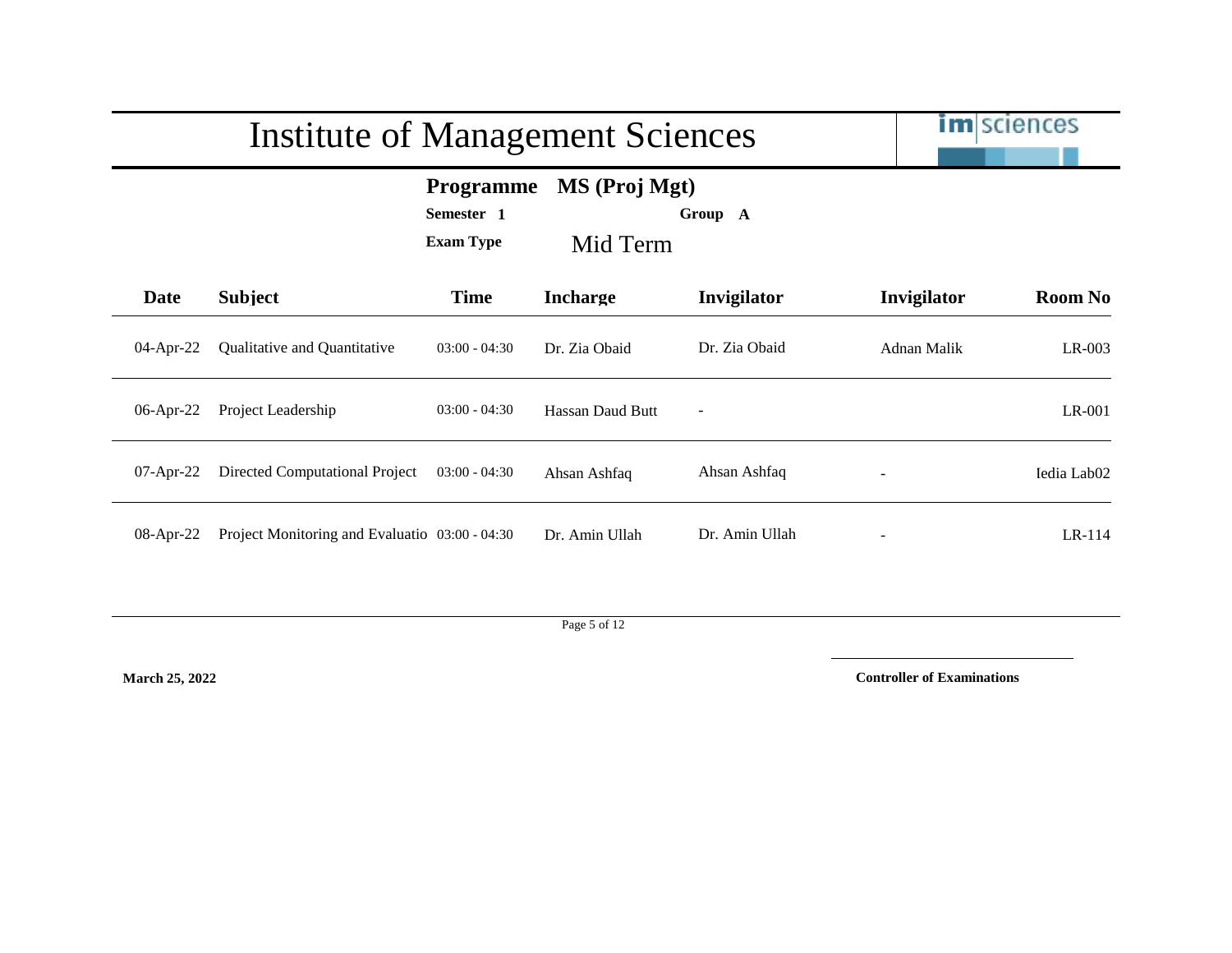|                                                                                            | <b>Institute of Management Sciences</b>        |                 | im sciences      |                          |             |                         |
|--------------------------------------------------------------------------------------------|------------------------------------------------|-----------------|------------------|--------------------------|-------------|-------------------------|
| MS (Proj Mgt)<br><b>Programme</b><br>Semester 1<br>Group A<br><b>Exam Type</b><br>Mid Term |                                                |                 |                  |                          |             |                         |
| Date                                                                                       | <b>Subject</b>                                 | <b>Time</b>     | <b>Incharge</b>  | Invigilator              | Invigilator | <b>Room No</b>          |
| 04-Apr-22                                                                                  | Qualitative and Quantitative                   | $03:00 - 04:30$ | Dr. Zia Obaid    | Dr. Zia Obaid            | Adnan Malik | LR-003                  |
| 06-Apr-22                                                                                  | Project Leadership                             | $03:00 - 04:30$ | Hassan Daud Butt | $\overline{\phantom{a}}$ |             | LR-001                  |
| $07$ -Apr-22                                                                               | Directed Computational Project                 | $03:00 - 04:30$ | Ahsan Ashfaq     | Ahsan Ashfaq             |             | Iedia Lab <sub>02</sub> |
| $08$ -Apr-22                                                                               | Project Monitoring and Evaluatio 03:00 - 04:30 |                 | Dr. Amin Ullah   | Dr. Amin Ullah           |             | $LR-114$                |

Page 5 of 12

**March 25, 2022**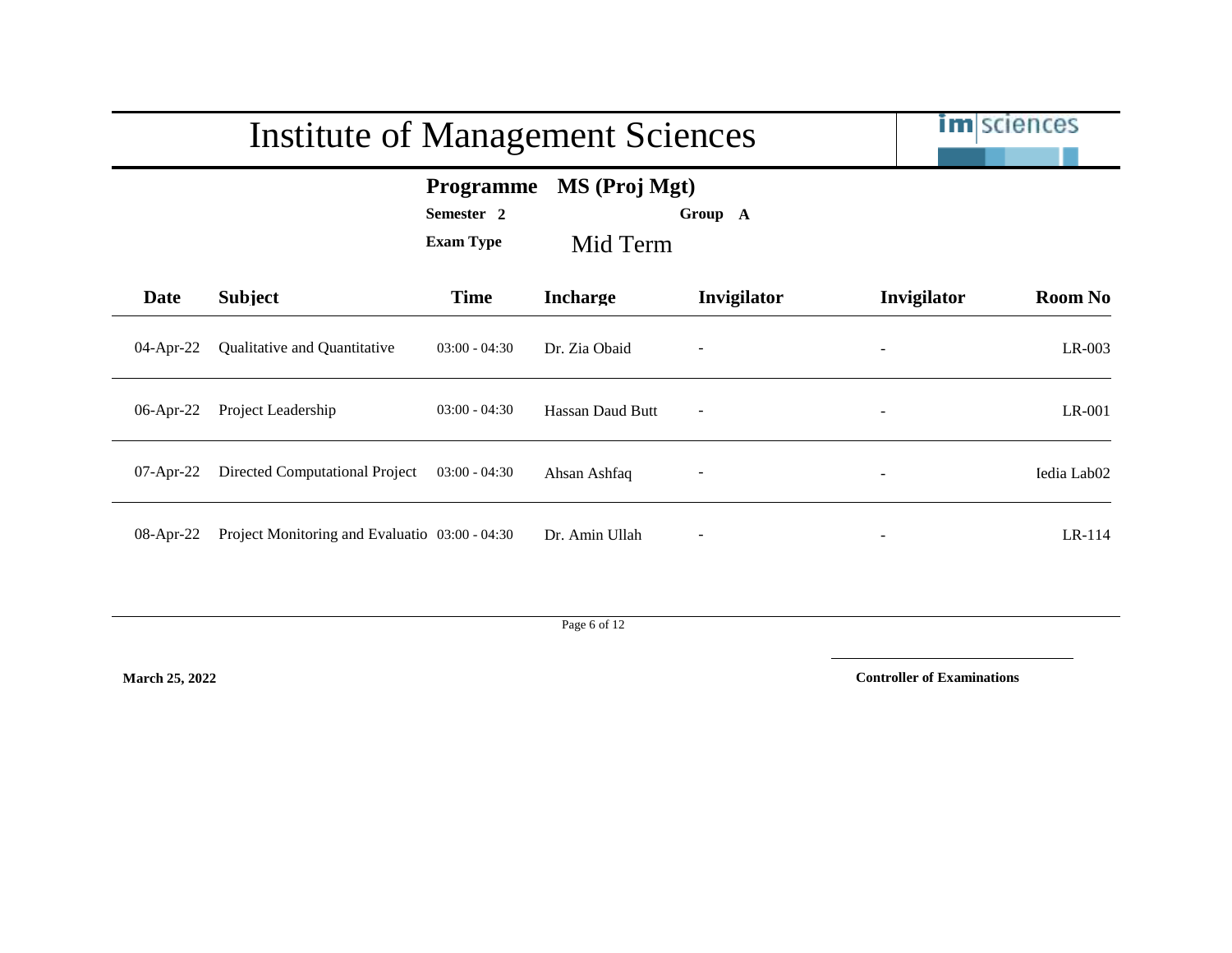|                                                                                            | <b>Institute of Management Sciences</b>        |                 | <b>im</b> sciences |                          |                          |                         |
|--------------------------------------------------------------------------------------------|------------------------------------------------|-----------------|--------------------|--------------------------|--------------------------|-------------------------|
| MS (Proj Mgt)<br><b>Programme</b><br>Semester 2<br>Group A<br><b>Exam Type</b><br>Mid Term |                                                |                 |                    |                          |                          |                         |
| <b>Date</b>                                                                                | <b>Subject</b>                                 | <b>Time</b>     | <b>Incharge</b>    | Invigilator              | Invigilator              | <b>Room No</b>          |
| $04$ -Apr-22                                                                               | Qualitative and Quantitative                   | $03:00 - 04:30$ | Dr. Zia Obaid      |                          |                          | $LR-003$                |
| 06-Apr-22                                                                                  | Project Leadership                             | $03:00 - 04:30$ | Hassan Daud Butt   | $\overline{\phantom{a}}$ | $\overline{\phantom{a}}$ | $LR-001$                |
| $07$ -Apr-22                                                                               | Directed Computational Project                 | $03:00 - 04:30$ | Ahsan Ashfaq       |                          |                          | Iedia Lab <sub>02</sub> |
| $08$ -Apr-22                                                                               | Project Monitoring and Evaluatio 03:00 - 04:30 |                 | Dr. Amin Ullah     |                          |                          | $LR-114$                |

Page 6 of 12

**March 25, 2022**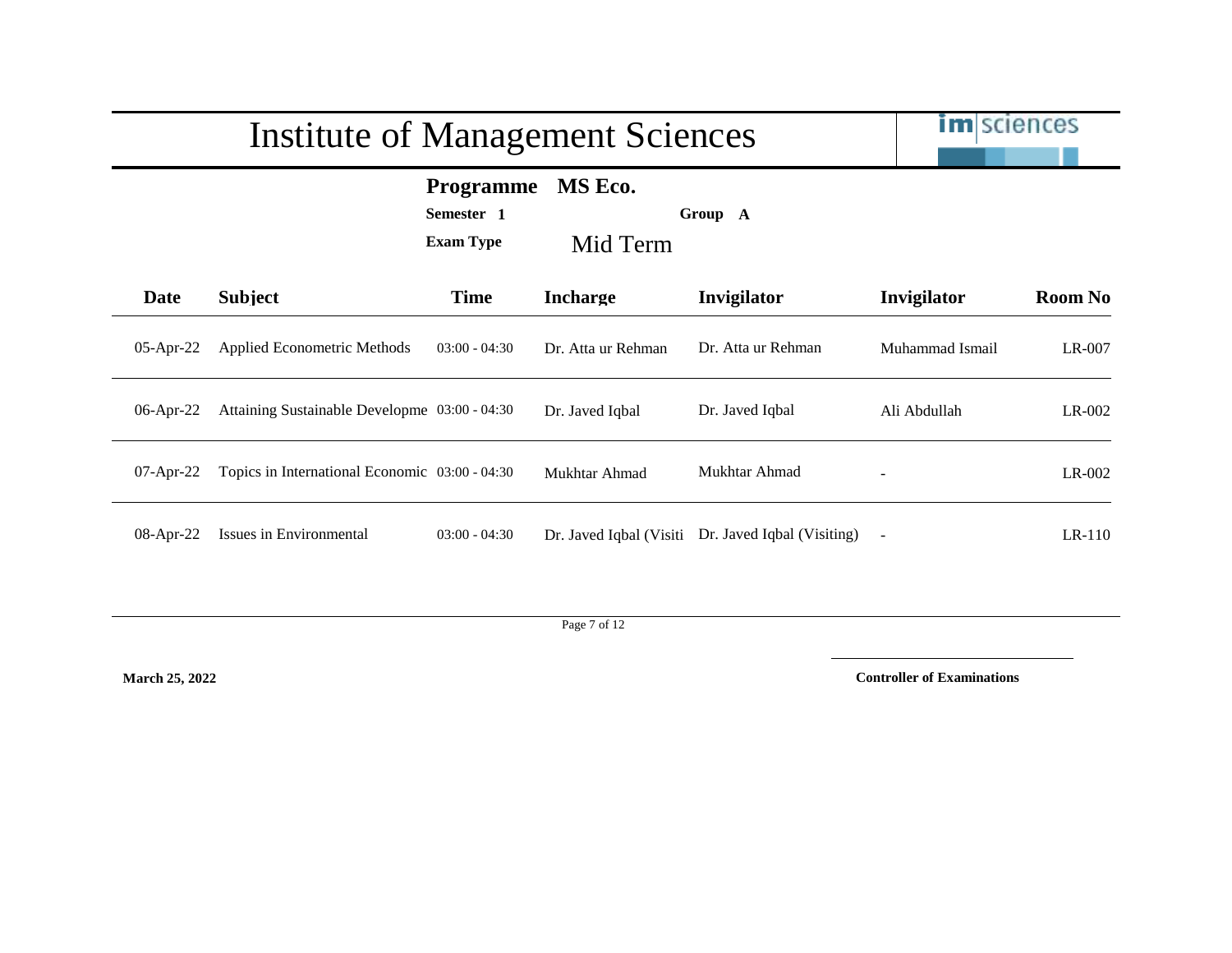|              | <b>Institute of Management Sciences</b>        | <b>im</b> sciences                                 |                         |                            |                 |                |
|--------------|------------------------------------------------|----------------------------------------------------|-------------------------|----------------------------|-----------------|----------------|
|              |                                                | <b>Programme</b><br>Semester 1<br><b>Exam Type</b> | MS Eco.<br>Mid Term     | Group A                    |                 |                |
| Date         | <b>Subject</b>                                 | <b>Time</b>                                        | <b>Incharge</b>         | Invigilator                | Invigilator     | <b>Room No</b> |
| 05-Apr-22    | <b>Applied Econometric Methods</b>             | $03:00 - 04:30$                                    | Dr. Atta ur Rehman      | Dr. Atta ur Rehman         | Muhammad Ismail | LR-007         |
| $06$ -Apr-22 | Attaining Sustainable Developme 03:00 - 04:30  |                                                    | Dr. Javed Iqbal         | Dr. Javed Iqbal            | Ali Abdullah    | $LR-002$       |
| $07$ -Apr-22 | Topics in International Economic 03:00 - 04:30 |                                                    | Mukhtar Ahmad           | Mukhtar Ahmad              |                 | $LR-002$       |
| 08-Apr-22    | Issues in Environmental                        | $03:00 - 04:30$                                    | Dr. Javed Iqbal (Visiti | Dr. Javed Iqbal (Visiting) |                 | $LR-110$       |

Page 7 of 12

**March 25, 2022**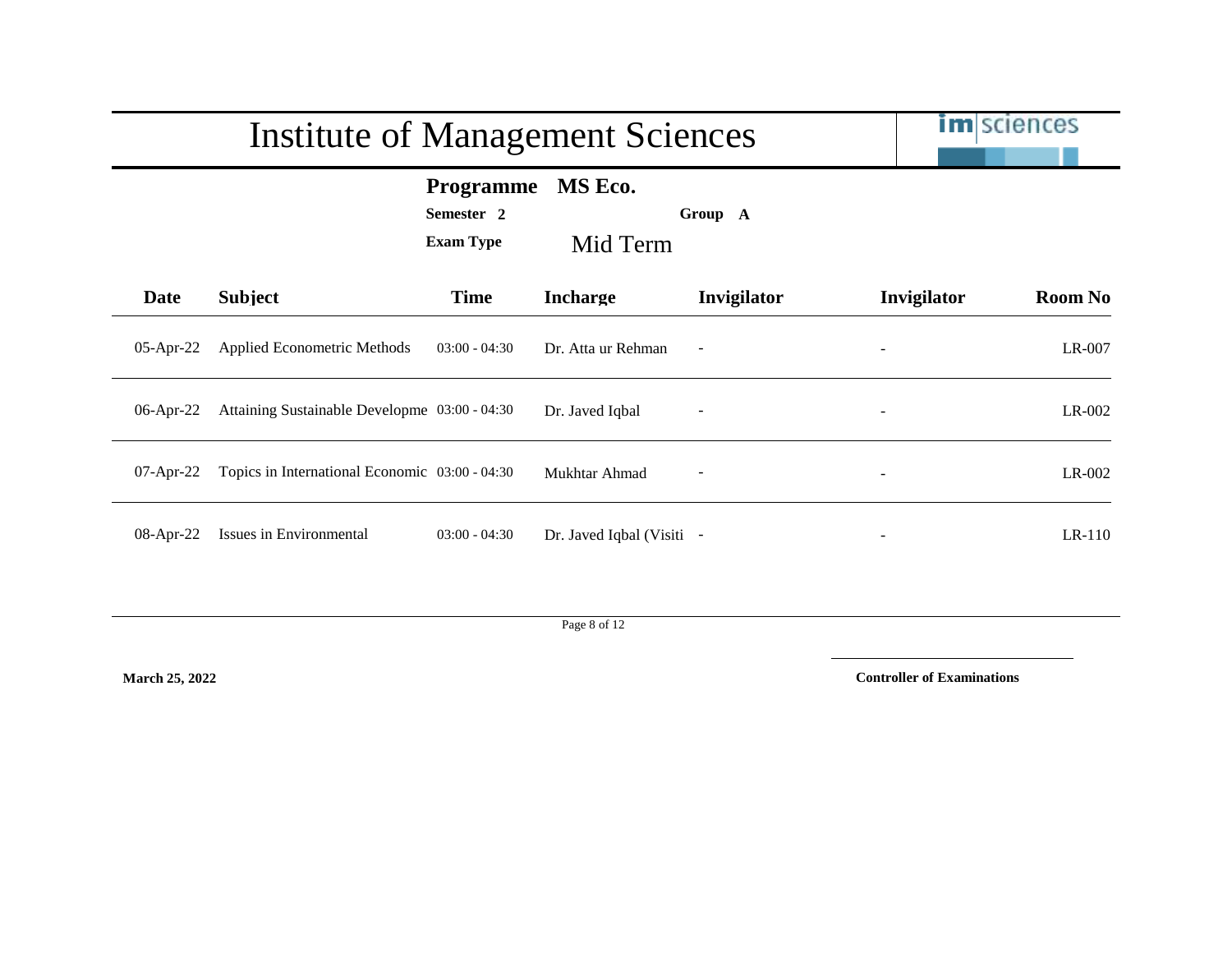|              | <b>Institute of Management Sciences</b>        |                                                    | <b>im</b> sciences        |                          |             |                |
|--------------|------------------------------------------------|----------------------------------------------------|---------------------------|--------------------------|-------------|----------------|
|              |                                                | <b>Programme</b><br>Semester 2<br><b>Exam Type</b> | MS Eco.<br>Mid Term       | Group A                  |             |                |
| Date         | <b>Subject</b>                                 | <b>Time</b>                                        | <b>Incharge</b>           | Invigilator              | Invigilator | <b>Room No</b> |
| $05$ -Apr-22 | Applied Econometric Methods                    | $03:00 - 04:30$                                    | Dr. Atta ur Rehman        | $\overline{\phantom{a}}$ |             | LR-007         |
| $06$ -Apr-22 | Attaining Sustainable Developme 03:00 - 04:30  |                                                    | Dr. Javed Iqbal           | $\overline{a}$           |             | LR-002         |
| $07$ -Apr-22 | Topics in International Economic 03:00 - 04:30 |                                                    | Mukhtar Ahmad             | $\overline{\phantom{a}}$ |             | $LR-002$       |
| 08-Apr-22    | Issues in Environmental                        | $03:00 - 04:30$                                    | Dr. Javed Iqbal (Visiti - |                          |             | $LR-110$       |

Page 8 of 12

**March 25, 2022**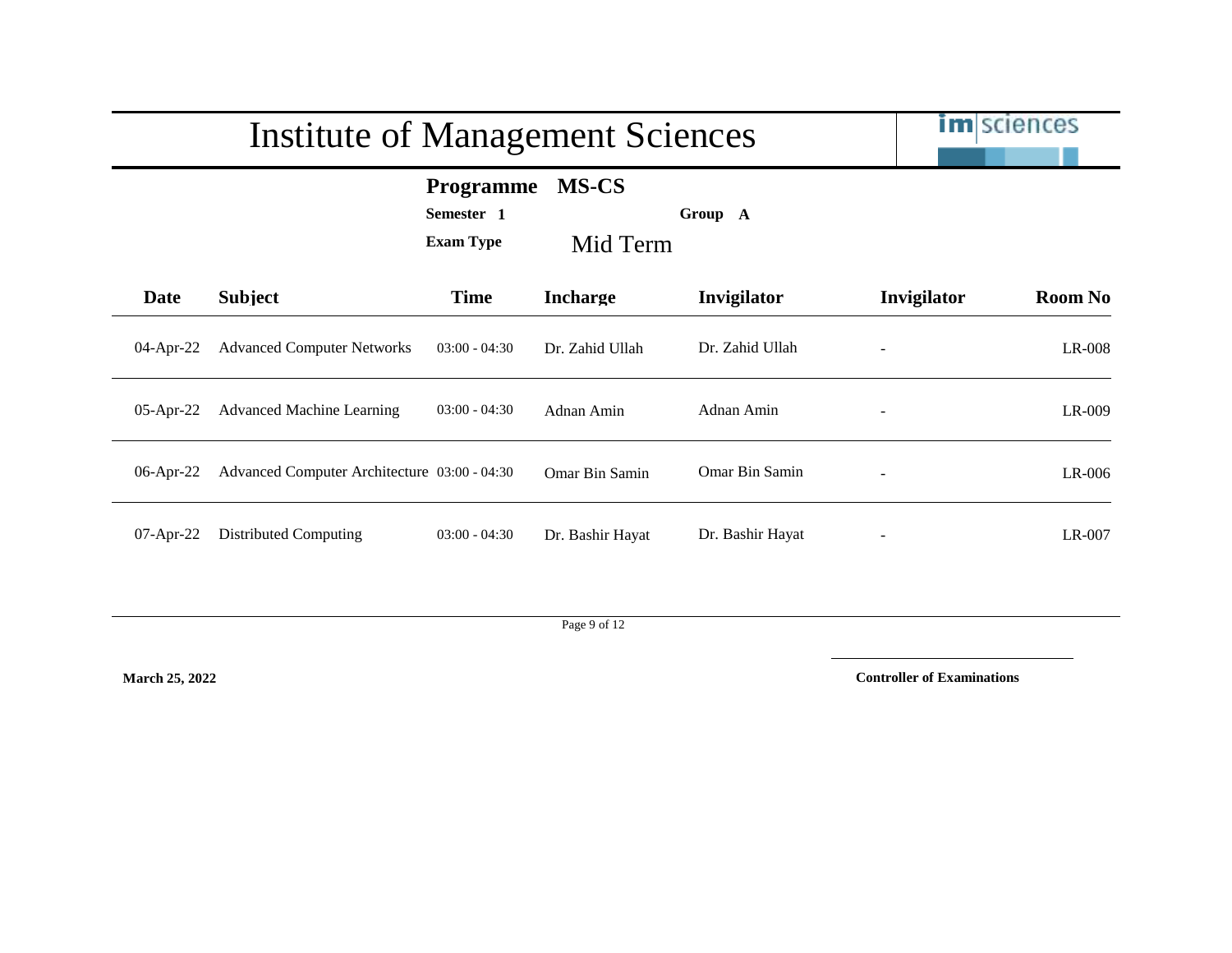|              | <b>Institute of Management Sciences</b>      |                                                    | <b>im</b> sciences       |                  |             |                |
|--------------|----------------------------------------------|----------------------------------------------------|--------------------------|------------------|-------------|----------------|
|              |                                              | <b>Programme</b><br>Semester 1<br><b>Exam Type</b> | <b>MS-CS</b><br>Mid Term | Group A          |             |                |
| <b>Date</b>  | <b>Subject</b>                               | <b>Time</b>                                        | <b>Incharge</b>          | Invigilator      | Invigilator | <b>Room No</b> |
| $04$ -Apr-22 | <b>Advanced Computer Networks</b>            | $03:00 - 04:30$                                    | Dr. Zahid Ullah          | Dr. Zahid Ullah  |             | LR-008         |
| $05$ -Apr-22 | <b>Advanced Machine Learning</b>             | $03:00 - 04:30$                                    | Adnan Amin               | Adnan Amin       |             | LR-009         |
| 06-Apr-22    | Advanced Computer Architecture 03:00 - 04:30 |                                                    | Omar Bin Samin           | Omar Bin Samin   |             | $LR-006$       |
| $07-Apr-22$  | Distributed Computing                        | $03:00 - 04:30$                                    | Dr. Bashir Hayat         | Dr. Bashir Hayat |             | $LR-007$       |

Page 9 of 12

**March 25, 2022**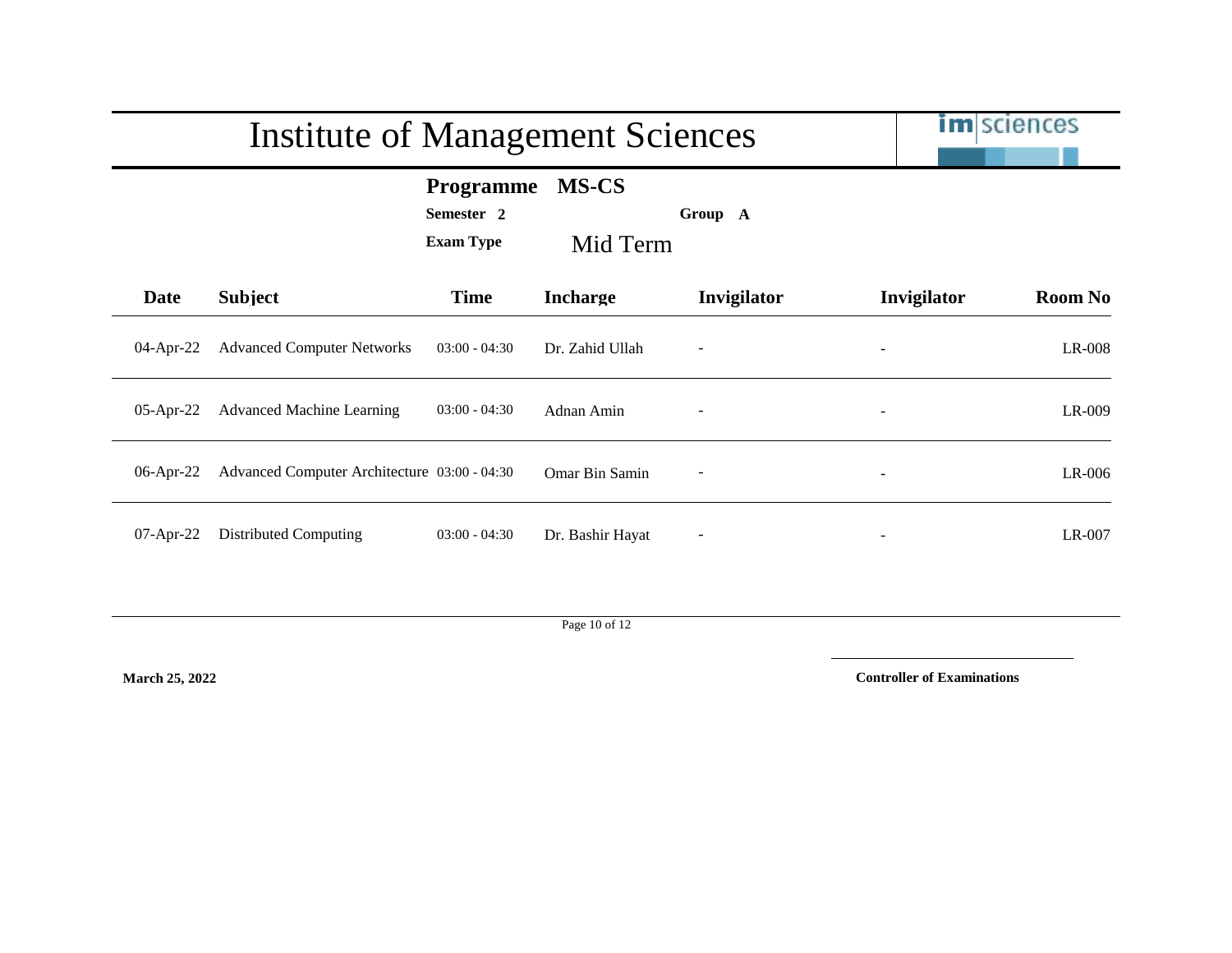|              | <b>Institute of Management Sciences</b>      | <b>im</b> sciences                                 |                          |                          |             |                |
|--------------|----------------------------------------------|----------------------------------------------------|--------------------------|--------------------------|-------------|----------------|
|              |                                              | <b>Programme</b><br>Semester 2<br><b>Exam Type</b> | <b>MS-CS</b><br>Mid Term | Group A                  |             |                |
| Date         | <b>Subject</b>                               | <b>Time</b>                                        | <b>Incharge</b>          | Invigilator              | Invigilator | <b>Room No</b> |
| 04-Apr-22    | <b>Advanced Computer Networks</b>            | $03:00 - 04:30$                                    | Dr. Zahid Ullah          |                          |             | LR-008         |
| $05$ -Apr-22 | <b>Advanced Machine Learning</b>             | $03:00 - 04:30$                                    | Adnan Amin               |                          |             | LR-009         |
| $06$ -Apr-22 | Advanced Computer Architecture 03:00 - 04:30 |                                                    | Omar Bin Samin           | $\overline{\phantom{a}}$ |             | LR-006         |
| 07-Apr-22    | Distributed Computing                        | $03:00 - 04:30$                                    | Dr. Bashir Hayat         |                          |             | LR-007         |

Page 10 of 12

**March 25, 2022**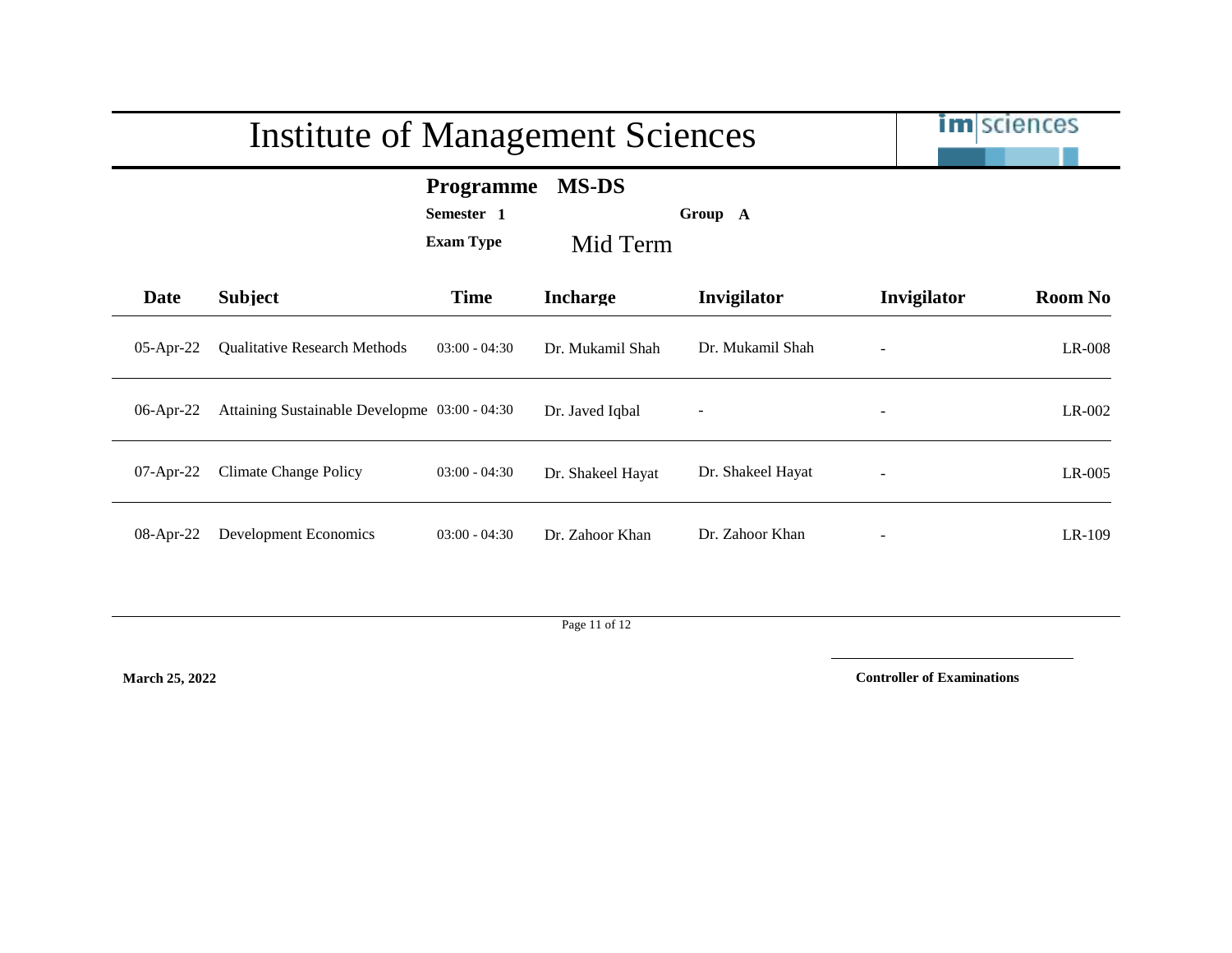|              | <b>Institute of Management Sciences</b>       |                                                    | <b>im</b> sciences       |                   |                |                |
|--------------|-----------------------------------------------|----------------------------------------------------|--------------------------|-------------------|----------------|----------------|
|              |                                               | <b>Programme</b><br>Semester 1<br><b>Exam Type</b> | <b>MS-DS</b><br>Mid Term | Group A           |                |                |
| Date         | <b>Subject</b>                                | <b>Time</b>                                        | <b>Incharge</b>          | Invigilator       | Invigilator    | <b>Room No</b> |
| $05$ -Apr-22 | <b>Qualitative Research Methods</b>           | $03:00 - 04:30$                                    | Dr. Mukamil Shah         | Dr. Mukamil Shah  |                | LR-008         |
| 06-Apr-22    | Attaining Sustainable Developme 03:00 - 04:30 |                                                    | Dr. Javed Iqbal          | $\overline{a}$    | $\overline{a}$ | $LR-002$       |
| $07$ -Apr-22 | <b>Climate Change Policy</b>                  | $03:00 - 04:30$                                    | Dr. Shakeel Hayat        | Dr. Shakeel Hayat |                | $LR-005$       |
| 08-Apr-22    | Development Economics                         | $03:00 - 04:30$                                    | Dr. Zahoor Khan          | Dr. Zahoor Khan   |                | LR-109         |

Page 11 of 12

**March 25, 2022**